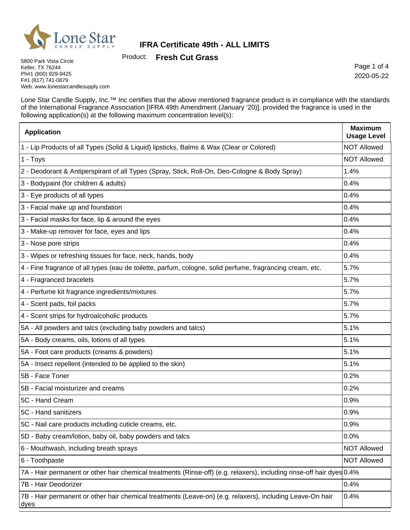

Product: **Fresh Cut Grass**

5800 Park Vista Circle Keller, TX 76244 Ph#1 (800) 929-9425 F#1 (817) 741-0879 Web: www.lonestarcandlesupply.com

Page 1 of 4 2020-05-22

h

Lone Star Candle Supply, Inc.™ Inc certifies that the above mentioned fragrance product is in compliance with the standards of the International Fragrance Association [IFRA 49th Amendment (January '20)], provided the fragrance is used in the following application(s) at the following maximum concentration level(s):

| <b>Application</b>                                                                                                    | <b>Maximum</b><br><b>Usage Level</b> |
|-----------------------------------------------------------------------------------------------------------------------|--------------------------------------|
| 1 - Lip Products of all Types (Solid & Liquid) lipsticks, Balms & Wax (Clear or Colored)                              | <b>NOT Allowed</b>                   |
| 1 - Toys                                                                                                              | <b>NOT Allowed</b>                   |
| 2 - Deodorant & Antiperspirant of all Types (Spray, Stick, Roll-On, Deo-Cologne & Body Spray)                         | 1.4%                                 |
| 3 - Bodypaint (for children & adults)                                                                                 | 0.4%                                 |
| 3 - Eye products of all types                                                                                         | 0.4%                                 |
| 3 - Facial make up and foundation                                                                                     | 0.4%                                 |
| 3 - Facial masks for face, lip & around the eyes                                                                      | 0.4%                                 |
| 3 - Make-up remover for face, eyes and lips                                                                           | 0.4%                                 |
| 3 - Nose pore strips                                                                                                  | 0.4%                                 |
| 3 - Wipes or refreshing tissues for face, neck, hands, body                                                           | 0.4%                                 |
| 4 - Fine fragrance of all types (eau de toilette, parfum, cologne, solid perfume, fragrancing cream, etc.             | 5.7%                                 |
| 4 - Fragranced bracelets                                                                                              | 5.7%                                 |
| 4 - Perfume kit fragrance ingredients/mixtures                                                                        | 5.7%                                 |
| 4 - Scent pads, foil packs                                                                                            | 5.7%                                 |
| 4 - Scent strips for hydroalcoholic products                                                                          | 5.7%                                 |
| 5A - All powders and talcs (excluding baby powders and talcs)                                                         | 5.1%                                 |
| 5A - Body creams, oils, lotions of all types                                                                          | 5.1%                                 |
| 5A - Foot care products (creams & powders)                                                                            | 5.1%                                 |
| 5A - Insect repellent (intended to be applied to the skin)                                                            | 5.1%                                 |
| 5B - Face Toner                                                                                                       | 0.2%                                 |
| 5B - Facial moisturizer and creams                                                                                    | 0.2%                                 |
| 5C - Hand Cream                                                                                                       | 0.9%                                 |
| 5C - Hand sanitizers                                                                                                  | 0.9%                                 |
| 5C - Nail care products including cuticle creams, etc.                                                                | 0.9%                                 |
| 5D - Baby cream/lotion, baby oil, baby powders and talcs                                                              | 0.0%                                 |
| 6 - Mouthwash, including breath sprays                                                                                | <b>NOT Allowed</b>                   |
| 6 - Toothpaste                                                                                                        | <b>NOT Allowed</b>                   |
| 7A - Hair permanent or other hair chemical treatments (Rinse-off) (e.g. relaxers), including rinse-off hair dyes 0.4% |                                      |
| 7B - Hair Deodorizer                                                                                                  | 0.4%                                 |
| 7B - Hair permanent or other hair chemical treatments (Leave-on) (e.g. relaxers), including Leave-On hair<br>dyes     | 0.4%                                 |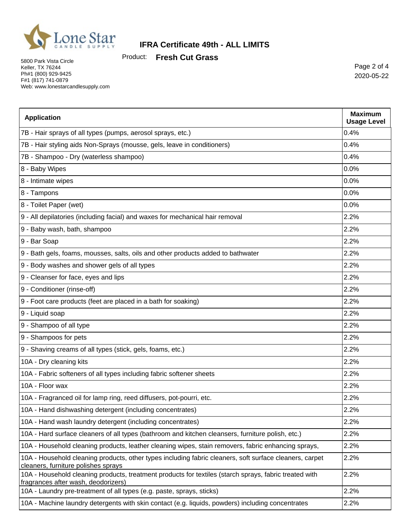

Product: **Fresh Cut Grass**

5800 Park Vista Circle Keller, TX 76244 Ph#1 (800) 929-9425 F#1 (817) 741-0879 Web: www.lonestarcandlesupply.com

Page 2 of 4 2020-05-22

| <b>Application</b>                                                                                                                             | <b>Maximum</b><br><b>Usage Level</b> |
|------------------------------------------------------------------------------------------------------------------------------------------------|--------------------------------------|
| 7B - Hair sprays of all types (pumps, aerosol sprays, etc.)                                                                                    | 0.4%                                 |
| 7B - Hair styling aids Non-Sprays (mousse, gels, leave in conditioners)                                                                        | 0.4%                                 |
| 7B - Shampoo - Dry (waterless shampoo)                                                                                                         | 0.4%                                 |
| 8 - Baby Wipes                                                                                                                                 | 0.0%                                 |
| 8 - Intimate wipes                                                                                                                             | 0.0%                                 |
| 8 - Tampons                                                                                                                                    | 0.0%                                 |
| 8 - Toilet Paper (wet)                                                                                                                         | 0.0%                                 |
| 9 - All depilatories (including facial) and waxes for mechanical hair removal                                                                  | 2.2%                                 |
| 9 - Baby wash, bath, shampoo                                                                                                                   | 2.2%                                 |
| 9 - Bar Soap                                                                                                                                   | 2.2%                                 |
| 9 - Bath gels, foams, mousses, salts, oils and other products added to bathwater                                                               | 2.2%                                 |
| 9 - Body washes and shower gels of all types                                                                                                   | 2.2%                                 |
| 9 - Cleanser for face, eyes and lips                                                                                                           | 2.2%                                 |
| 9 - Conditioner (rinse-off)                                                                                                                    | 2.2%                                 |
| 9 - Foot care products (feet are placed in a bath for soaking)                                                                                 | 2.2%                                 |
| 9 - Liquid soap                                                                                                                                | 2.2%                                 |
| 9 - Shampoo of all type                                                                                                                        | 2.2%                                 |
| 9 - Shampoos for pets                                                                                                                          | 2.2%                                 |
| 9 - Shaving creams of all types (stick, gels, foams, etc.)                                                                                     | 2.2%                                 |
| 10A - Dry cleaning kits                                                                                                                        | 2.2%                                 |
| 10A - Fabric softeners of all types including fabric softener sheets                                                                           | 2.2%                                 |
| 10A - Floor wax                                                                                                                                | 2.2%                                 |
| 10A - Fragranced oil for lamp ring, reed diffusers, pot-pourri, etc.                                                                           | 2.2%                                 |
| 10A - Hand dishwashing detergent (including concentrates)                                                                                      | 2.2%                                 |
| 10A - Hand wash laundry detergent (including concentrates)                                                                                     | 2.2%                                 |
| 10A - Hard surface cleaners of all types (bathroom and kitchen cleansers, furniture polish, etc.)                                              | 2.2%                                 |
| 10A - Household cleaning products, leather cleaning wipes, stain removers, fabric enhancing sprays,                                            | 2.2%                                 |
| 10A - Household cleaning products, other types including fabric cleaners, soft surface cleaners, carpet<br>cleaners, furniture polishes sprays | 2.2%                                 |
| 10A - Household cleaning products, treatment products for textiles (starch sprays, fabric treated with<br>fragrances after wash, deodorizers)  | 2.2%                                 |
| 10A - Laundry pre-treatment of all types (e.g. paste, sprays, sticks)                                                                          | 2.2%                                 |
| 10A - Machine laundry detergents with skin contact (e.g. liquids, powders) including concentrates                                              | 2.2%                                 |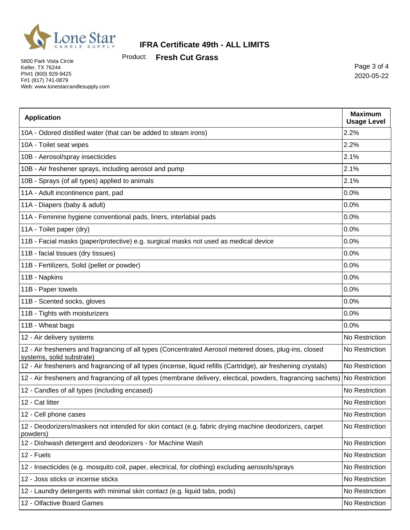

Product: **Fresh Cut Grass**

5800 Park Vista Circle Keller, TX 76244 Ph#1 (800) 929-9425 F#1 (817) 741-0879 Web: www.lonestarcandlesupply.com

Page 3 of 4 2020-05-22

| <b>Application</b>                                                                                                                  | <b>Maximum</b><br><b>Usage Level</b> |
|-------------------------------------------------------------------------------------------------------------------------------------|--------------------------------------|
| 10A - Odored distilled water (that can be added to steam irons)                                                                     | 2.2%                                 |
| 10A - Toilet seat wipes                                                                                                             | 2.2%                                 |
| 10B - Aerosol/spray insecticides                                                                                                    | 2.1%                                 |
| 10B - Air freshener sprays, including aerosol and pump                                                                              | 2.1%                                 |
| 10B - Sprays (of all types) applied to animals                                                                                      | 2.1%                                 |
| 11A - Adult incontinence pant, pad                                                                                                  | 0.0%                                 |
| 11A - Diapers (baby & adult)                                                                                                        | 0.0%                                 |
| 11A - Feminine hygiene conventional pads, liners, interlabial pads                                                                  | 0.0%                                 |
| 11A - Toilet paper (dry)                                                                                                            | 0.0%                                 |
| 11B - Facial masks (paper/protective) e.g. surgical masks not used as medical device                                                | 0.0%                                 |
| 11B - facial tissues (dry tissues)                                                                                                  | 0.0%                                 |
| 11B - Fertilizers, Solid (pellet or powder)                                                                                         | 0.0%                                 |
| 11B - Napkins                                                                                                                       | 0.0%                                 |
| 11B - Paper towels                                                                                                                  | 0.0%                                 |
| 11B - Scented socks, gloves                                                                                                         | 0.0%                                 |
| 11B - Tights with moisturizers                                                                                                      | 0.0%                                 |
| 11B - Wheat bags                                                                                                                    | 0.0%                                 |
| 12 - Air delivery systems                                                                                                           | No Restriction                       |
| 12 - Air fresheners and fragrancing of all types (Concentrated Aerosol metered doses, plug-ins, closed<br>systems, solid substrate) | No Restriction                       |
| 12 - Air fresheners and fragrancing of all types (incense, liquid refills (Cartridge), air freshening crystals)                     | No Restriction                       |
| 12 - Air fresheners and fragrancing of all types (membrane delivery, electical, powders, fragrancing sachets) No Restriction        |                                      |
| 12 - Candles of all types (including encased)                                                                                       | No Restriction                       |
| 12 - Cat litter                                                                                                                     | No Restriction                       |
| 12 - Cell phone cases                                                                                                               | No Restriction                       |
| 12 - Deodorizers/maskers not intended for skin contact (e.g. fabric drying machine deodorizers, carpet<br>powders)                  | No Restriction                       |
| 12 - Dishwash detergent and deodorizers - for Machine Wash                                                                          | No Restriction                       |
| 12 - Fuels                                                                                                                          | No Restriction                       |
| 12 - Insecticides (e.g. mosquito coil, paper, electrical, for clothing) excluding aerosols/sprays                                   | No Restriction                       |
| 12 - Joss sticks or incense sticks                                                                                                  | No Restriction                       |
| 12 - Laundry detergents with minimal skin contact (e.g. liquid tabs, pods)                                                          | No Restriction                       |
| 12 - Olfactive Board Games                                                                                                          | No Restriction                       |